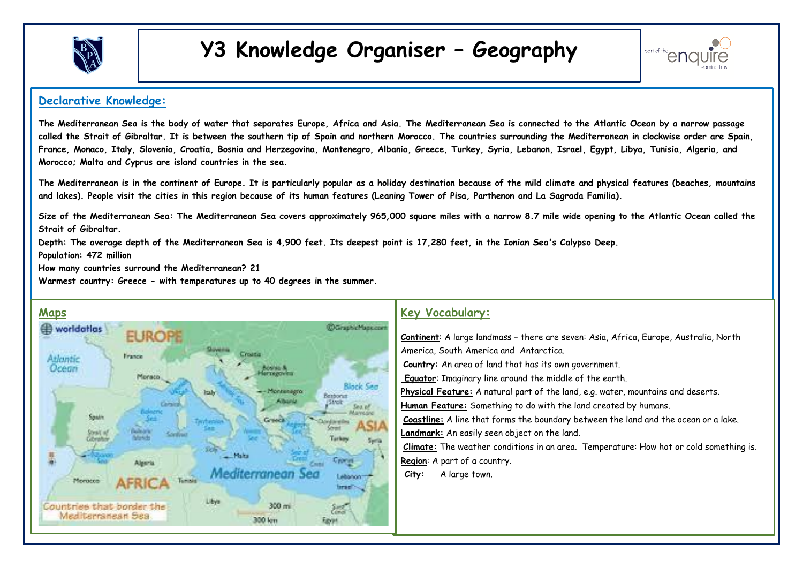

# **Y3 Knowledge Organiser – Geography**



#### **Declarative Knowledge:**

**The Mediterranean Sea is the body of water that separates Europe, Africa and Asia. The Mediterranean Sea is connected to the Atlantic Ocean by a narrow passage called the Strait of Gibraltar. It is between the southern tip of Spain and northern Morocco. The countries surrounding the Mediterranean in clockwise order are Spain, France, Monaco, Italy, Slovenia, Croatia, Bosnia and Herzegovina, Montenegro, Albania, Greece, Turkey, Syria, Lebanon, Israel, Egypt, Libya, Tunisia, Algeria, and Morocco; Malta and Cyprus are island countries in the sea.** 

**The Mediterranean is in the continent of Europe. It is particularly popular as a holiday destination because of the mild climate and physical features (beaches, mountains and lakes). People visit the cities in this region because of its human features (Leaning Tower of Pisa, Parthenon and La Sagrada Familia).** 

**Size of the Mediterranean Sea: The Mediterranean Sea covers approximately 965,000 square miles with a narrow 8.7 mile wide opening to the Atlantic Ocean called the Strait of Gibraltar.** 

**Depth: The average depth of the Mediterranean Sea is 4,900 feet. Its deepest point is 17,280 feet, in the Ionian Sea's Calypso Deep.** 

**Population: 472 million** 

**How many countries surround the Mediterranean? 21** 

**Warmest country: Greece - with temperatures up to 40 degrees in the summer.**



#### **Key Vocabulary:**

1. **Continent**: A large landmass – there are seven: Asia, Africa, Europe, Australia, North America, South America and Antarctica. 2. **Country:** An area of land that has its own government. 3. **Equator**: Imaginary line around the middle of the earth. 4. **Physical Feature:** A natural part of the land, e.g. water, mountains and deserts. Human Feature: Something to do with the land created by humans. 6. **Coastline:** A line that forms the boundary between the land and the ocean or a lake. Landmark: An easily seen object on the land. [8.](https://www.google.com/url?sa=i&source=images&cd=&ved=2ahUKEwihyeH5ibvmAhUKuRoKHSuoANIQjRx6BAgBEAQ&url=https%3A%2F%2Fwww.pinterest.co.uk%2Fpin%2F65161525834120132%2F&psig=AOvVaw2jmmD8H7Ma_eg2dHIXhLFs&ust=1576616851486395) **Climate:** The weather conditions in an area. Temperature: How hot or cold something is. 9. **Region**: A part of a country. City: A large town.